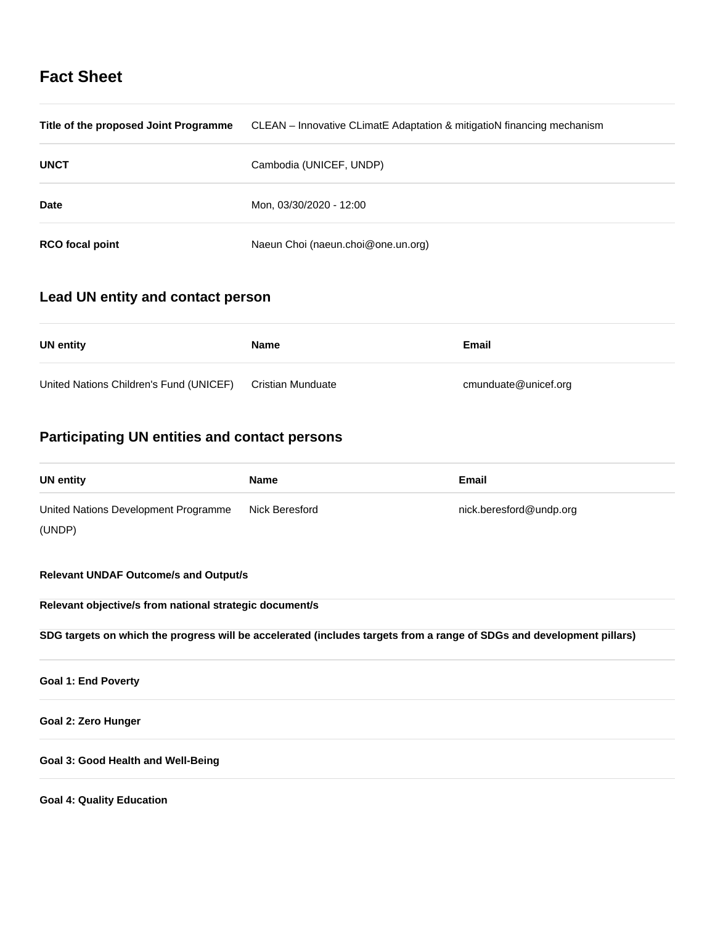# **Fact Sheet**

| Title of the proposed Joint Programme | CLEAN – Innovative CLimatE Adaptation & mitigatioN financing mechanism |
|---------------------------------------|------------------------------------------------------------------------|
| <b>UNCT</b>                           | Cambodia (UNICEF, UNDP)                                                |
| <b>Date</b>                           | Mon, 03/30/2020 - 12:00                                                |
| <b>RCO</b> focal point                | Naeun Choi (naeun.choi@one.un.org)                                     |

# **Lead UN entity and contact person**

| UN entity                               | <b>Name</b>       | Email                |
|-----------------------------------------|-------------------|----------------------|
| United Nations Children's Fund (UNICEF) | Cristian Munduate | cmunduate@unicef.org |

# **Participating UN entities and contact persons**

| <b>UN entity</b>                     | <b>Name</b>    | Email                   |
|--------------------------------------|----------------|-------------------------|
| United Nations Development Programme | Nick Beresford | nick.beresford@undp.org |
| (UNDP)                               |                |                         |

**Relevant UNDAF Outcome/s and Output/s**

**Relevant objective/s from national strategic document/s**

**SDG targets on which the progress will be accelerated (includes targets from a range of SDGs and development pillars)**

**Goal 1: End Poverty**

## **Goal 2: Zero Hunger**

## **Goal 3: Good Health and Well-Being**

**Goal 4: Quality Education**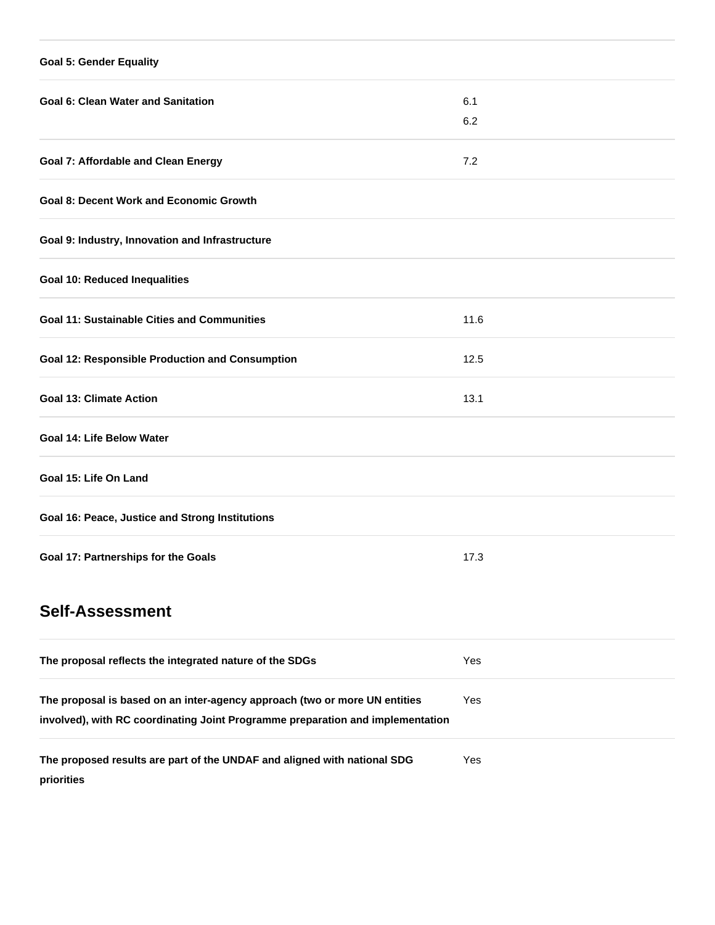| <b>Goal 5: Gender Equality</b>                         |      |
|--------------------------------------------------------|------|
| <b>Goal 6: Clean Water and Sanitation</b>              | 6.1  |
|                                                        | 6.2  |
| <b>Goal 7: Affordable and Clean Energy</b>             | 7.2  |
| <b>Goal 8: Decent Work and Economic Growth</b>         |      |
| Goal 9: Industry, Innovation and Infrastructure        |      |
| <b>Goal 10: Reduced Inequalities</b>                   |      |
| <b>Goal 11: Sustainable Cities and Communities</b>     | 11.6 |
| <b>Goal 12: Responsible Production and Consumption</b> | 12.5 |
| <b>Goal 13: Climate Action</b>                         | 13.1 |
| <b>Goal 14: Life Below Water</b>                       |      |
| Goal 15: Life On Land                                  |      |
| Goal 16: Peace, Justice and Strong Institutions        |      |
| Goal 17: Partnerships for the Goals                    | 17.3 |
| <b>Self-Assessment</b>                                 |      |

| The proposal reflects the integrated nature of the SDGs                                                                                                      | Yes |
|--------------------------------------------------------------------------------------------------------------------------------------------------------------|-----|
| The proposal is based on an inter-agency approach (two or more UN entities<br>involved), with RC coordinating Joint Programme preparation and implementation | Yes |
| The proposed results are part of the UNDAF and aligned with national SDG<br>priorities                                                                       | Yes |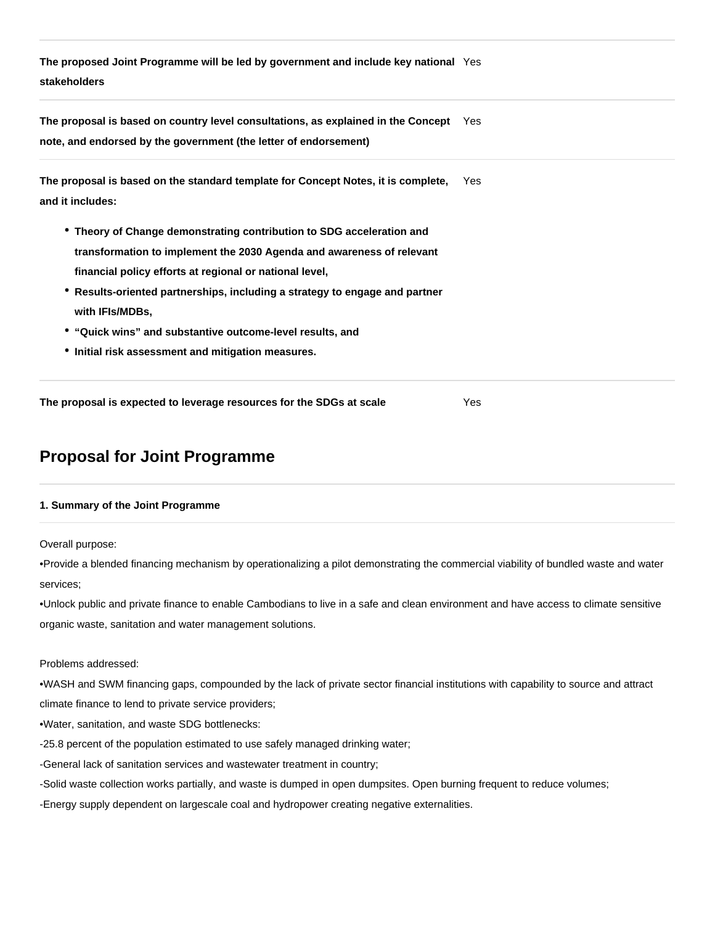**The proposed Joint Programme will be led by government and include key national**  Yes **stakeholders**

**The proposal is based on country level consultations, as explained in the Concept**  Yes **note, and endorsed by the government (the letter of endorsement)**

| The proposal is based on the standard template for Concept Notes, it is complete. | Yes |
|-----------------------------------------------------------------------------------|-----|
| and it includes:                                                                  |     |

- **Theory of Change demonstrating contribution to SDG acceleration and transformation to implement the 2030 Agenda and awareness of relevant financial policy efforts at regional or national level,**
- **Results-oriented partnerships, including a strategy to engage and partner with IFIs/MDBs,**
- **"Quick wins" and substantive outcome-level results, and**
- **Initial risk assessment and mitigation measures.**

**The proposal is expected to leverage resources for the SDGs at scale** Yes

# **Proposal for Joint Programme**

## **1. Summary of the Joint Programme**

Overall purpose:

•Provide a blended financing mechanism by operationalizing a pilot demonstrating the commercial viability of bundled waste and water services;

•Unlock public and private finance to enable Cambodians to live in a safe and clean environment and have access to climate sensitive organic waste, sanitation and water management solutions.

## Problems addressed:

•WASH and SWM financing gaps, compounded by the lack of private sector financial institutions with capability to source and attract climate finance to lend to private service providers;

- •Water, sanitation, and waste SDG bottlenecks:
- -25.8 percent of the population estimated to use safely managed drinking water;
- -General lack of sanitation services and wastewater treatment in country;
- -Solid waste collection works partially, and waste is dumped in open dumpsites. Open burning frequent to reduce volumes;
- -Energy supply dependent on largescale coal and hydropower creating negative externalities.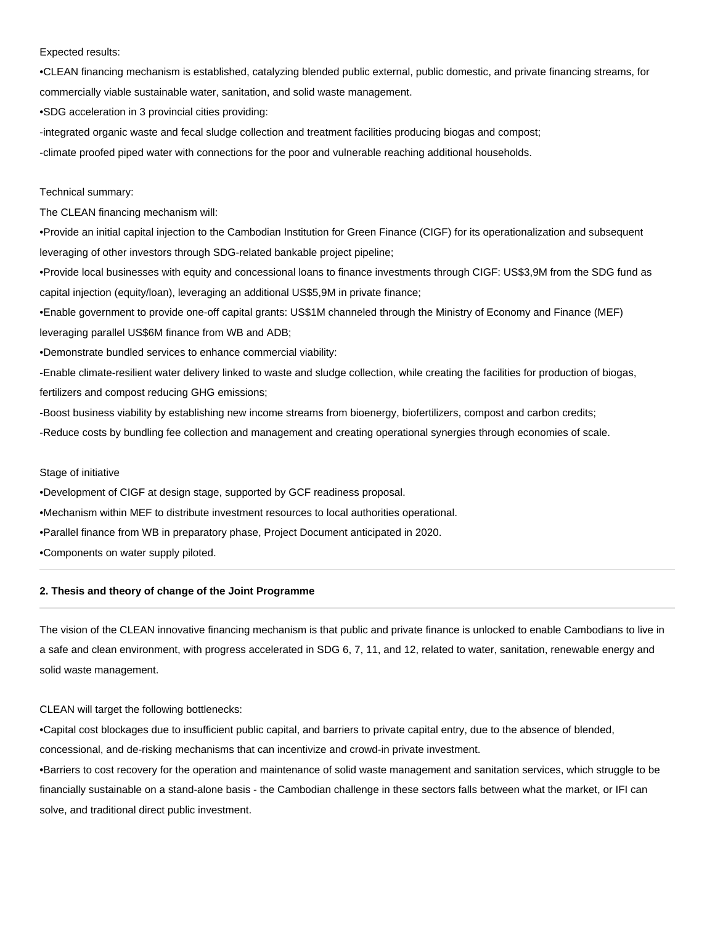#### Expected results:

•CLEAN financing mechanism is established, catalyzing blended public external, public domestic, and private financing streams, for commercially viable sustainable water, sanitation, and solid waste management.

•SDG acceleration in 3 provincial cities providing:

-integrated organic waste and fecal sludge collection and treatment facilities producing biogas and compost; -climate proofed piped water with connections for the poor and vulnerable reaching additional households.

## Technical summary:

The CLEAN financing mechanism will:

•Provide an initial capital injection to the Cambodian Institution for Green Finance (CIGF) for its operationalization and subsequent leveraging of other investors through SDG-related bankable project pipeline;

•Provide local businesses with equity and concessional loans to finance investments through CIGF: US\$3,9M from the SDG fund as capital injection (equity/loan), leveraging an additional US\$5,9M in private finance;

•Enable government to provide one-off capital grants: US\$1M channeled through the Ministry of Economy and Finance (MEF) leveraging parallel US\$6M finance from WB and ADB;

•Demonstrate bundled services to enhance commercial viability:

-Enable climate-resilient water delivery linked to waste and sludge collection, while creating the facilities for production of biogas, fertilizers and compost reducing GHG emissions;

-Boost business viability by establishing new income streams from bioenergy, biofertilizers, compost and carbon credits;

-Reduce costs by bundling fee collection and management and creating operational synergies through economies of scale.

#### Stage of initiative

•Development of CIGF at design stage, supported by GCF readiness proposal.

•Mechanism within MEF to distribute investment resources to local authorities operational.

•Parallel finance from WB in preparatory phase, Project Document anticipated in 2020.

•Components on water supply piloted.

## **2. Thesis and theory of change of the Joint Programme**

The vision of the CLEAN innovative financing mechanism is that public and private finance is unlocked to enable Cambodians to live in a safe and clean environment, with progress accelerated in SDG 6, 7, 11, and 12, related to water, sanitation, renewable energy and solid waste management.

#### CLEAN will target the following bottlenecks:

•Capital cost blockages due to insufficient public capital, and barriers to private capital entry, due to the absence of blended, concessional, and de-risking mechanisms that can incentivize and crowd-in private investment.

•Barriers to cost recovery for the operation and maintenance of solid waste management and sanitation services, which struggle to be financially sustainable on a stand-alone basis - the Cambodian challenge in these sectors falls between what the market, or IFI can solve, and traditional direct public investment.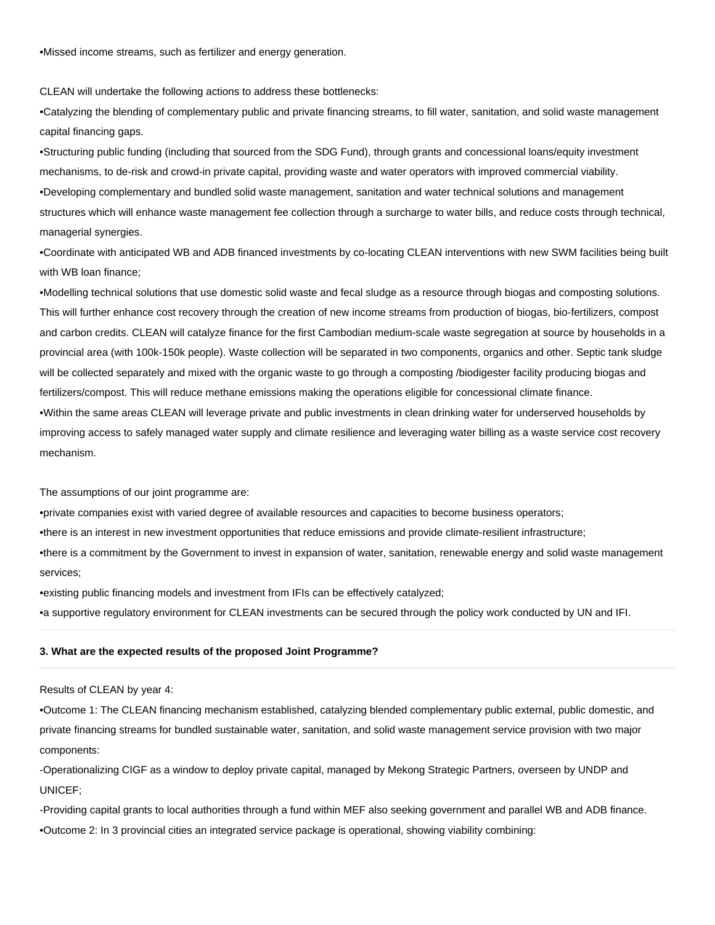•Missed income streams, such as fertilizer and energy generation.

CLEAN will undertake the following actions to address these bottlenecks:

•Catalyzing the blending of complementary public and private financing streams, to fill water, sanitation, and solid waste management capital financing gaps.

•Structuring public funding (including that sourced from the SDG Fund), through grants and concessional loans/equity investment mechanisms, to de-risk and crowd-in private capital, providing waste and water operators with improved commercial viability. •Developing complementary and bundled solid waste management, sanitation and water technical solutions and management structures which will enhance waste management fee collection through a surcharge to water bills, and reduce costs through technical, managerial synergies.

•Coordinate with anticipated WB and ADB financed investments by co-locating CLEAN interventions with new SWM facilities being built with WB loan finance;

•Modelling technical solutions that use domestic solid waste and fecal sludge as a resource through biogas and composting solutions. This will further enhance cost recovery through the creation of new income streams from production of biogas, bio-fertilizers, compost and carbon credits. CLEAN will catalyze finance for the first Cambodian medium-scale waste segregation at source by households in a provincial area (with 100k-150k people). Waste collection will be separated in two components, organics and other. Septic tank sludge will be collected separately and mixed with the organic waste to go through a composting /biodigester facility producing biogas and fertilizers/compost. This will reduce methane emissions making the operations eligible for concessional climate finance. •Within the same areas CLEAN will leverage private and public investments in clean drinking water for underserved households by improving access to safely managed water supply and climate resilience and leveraging water billing as a waste service cost recovery mechanism.

The assumptions of our joint programme are:

•private companies exist with varied degree of available resources and capacities to become business operators;

•there is an interest in new investment opportunities that reduce emissions and provide climate-resilient infrastructure;

•there is a commitment by the Government to invest in expansion of water, sanitation, renewable energy and solid waste management services;

•existing public financing models and investment from IFIs can be effectively catalyzed;

•a supportive regulatory environment for CLEAN investments can be secured through the policy work conducted by UN and IFI.

## **3. What are the expected results of the proposed Joint Programme?**

#### Results of CLEAN by year 4:

•Outcome 1: The CLEAN financing mechanism established, catalyzing blended complementary public external, public domestic, and private financing streams for bundled sustainable water, sanitation, and solid waste management service provision with two major components:

-Operationalizing CIGF as a window to deploy private capital, managed by Mekong Strategic Partners, overseen by UNDP and UNICEF;

-Providing capital grants to local authorities through a fund within MEF also seeking government and parallel WB and ADB finance. •Outcome 2: In 3 provincial cities an integrated service package is operational, showing viability combining: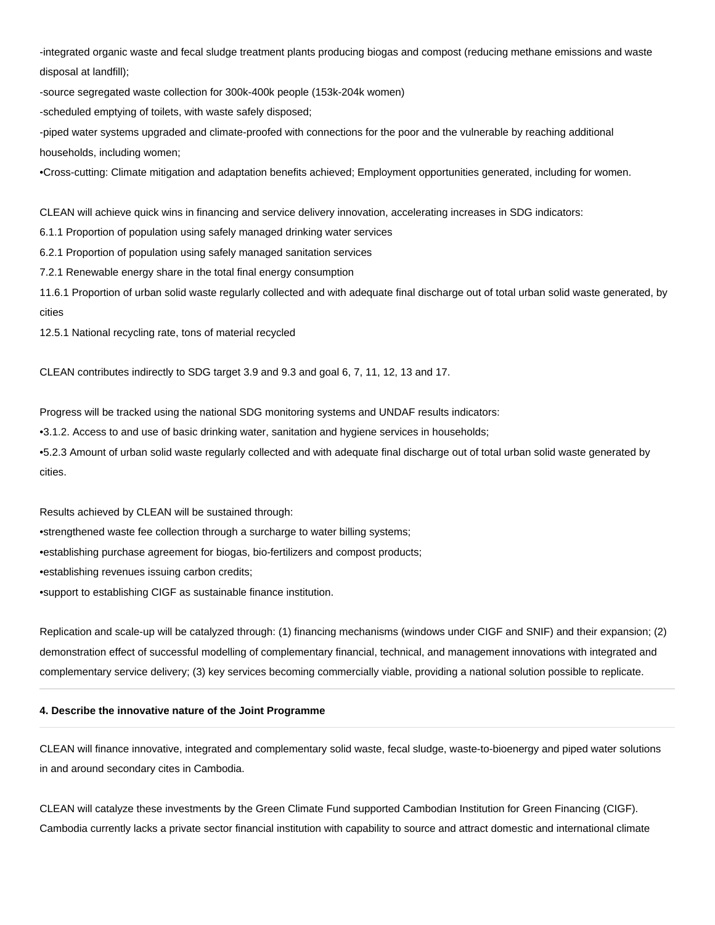-integrated organic waste and fecal sludge treatment plants producing biogas and compost (reducing methane emissions and waste disposal at landfill);

-source segregated waste collection for 300k-400k people (153k-204k women)

-scheduled emptying of toilets, with waste safely disposed;

-piped water systems upgraded and climate-proofed with connections for the poor and the vulnerable by reaching additional households, including women;

•Cross-cutting: Climate mitigation and adaptation benefits achieved; Employment opportunities generated, including for women.

CLEAN will achieve quick wins in financing and service delivery innovation, accelerating increases in SDG indicators:

6.1.1 Proportion of population using safely managed drinking water services

6.2.1 Proportion of population using safely managed sanitation services

7.2.1 Renewable energy share in the total final energy consumption

11.6.1 Proportion of urban solid waste regularly collected and with adequate final discharge out of total urban solid waste generated, by cities

12.5.1 National recycling rate, tons of material recycled

CLEAN contributes indirectly to SDG target 3.9 and 9.3 and goal 6, 7, 11, 12, 13 and 17.

Progress will be tracked using the national SDG monitoring systems and UNDAF results indicators:

•3.1.2. Access to and use of basic drinking water, sanitation and hygiene services in households;

•5.2.3 Amount of urban solid waste regularly collected and with adequate final discharge out of total urban solid waste generated by cities.

Results achieved by CLEAN will be sustained through:

•strengthened waste fee collection through a surcharge to water billing systems;

•establishing purchase agreement for biogas, bio-fertilizers and compost products;

•establishing revenues issuing carbon credits;

•support to establishing CIGF as sustainable finance institution.

Replication and scale-up will be catalyzed through: (1) financing mechanisms (windows under CIGF and SNIF) and their expansion; (2) demonstration effect of successful modelling of complementary financial, technical, and management innovations with integrated and complementary service delivery; (3) key services becoming commercially viable, providing a national solution possible to replicate.

#### **4. Describe the innovative nature of the Joint Programme**

CLEAN will finance innovative, integrated and complementary solid waste, fecal sludge, waste-to-bioenergy and piped water solutions in and around secondary cites in Cambodia.

CLEAN will catalyze these investments by the Green Climate Fund supported Cambodian Institution for Green Financing (CIGF). Cambodia currently lacks a private sector financial institution with capability to source and attract domestic and international climate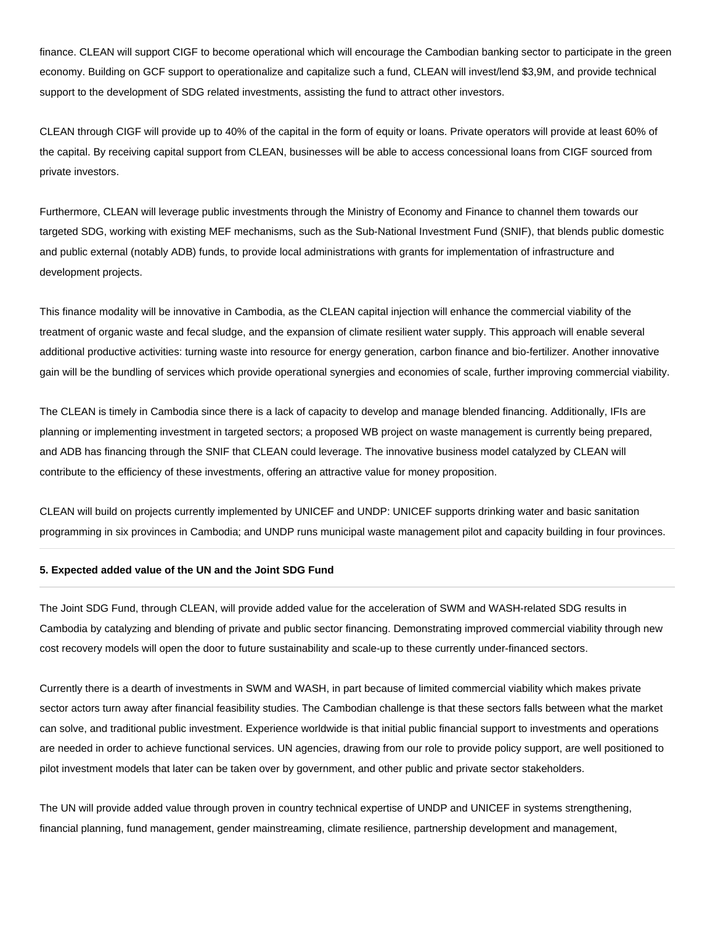finance. CLEAN will support CIGF to become operational which will encourage the Cambodian banking sector to participate in the green economy. Building on GCF support to operationalize and capitalize such a fund, CLEAN will invest/lend \$3,9M, and provide technical support to the development of SDG related investments, assisting the fund to attract other investors.

CLEAN through CIGF will provide up to 40% of the capital in the form of equity or loans. Private operators will provide at least 60% of the capital. By receiving capital support from CLEAN, businesses will be able to access concessional loans from CIGF sourced from private investors.

Furthermore, CLEAN will leverage public investments through the Ministry of Economy and Finance to channel them towards our targeted SDG, working with existing MEF mechanisms, such as the Sub-National Investment Fund (SNIF), that blends public domestic and public external (notably ADB) funds, to provide local administrations with grants for implementation of infrastructure and development projects.

This finance modality will be innovative in Cambodia, as the CLEAN capital injection will enhance the commercial viability of the treatment of organic waste and fecal sludge, and the expansion of climate resilient water supply. This approach will enable several additional productive activities: turning waste into resource for energy generation, carbon finance and bio-fertilizer. Another innovative gain will be the bundling of services which provide operational synergies and economies of scale, further improving commercial viability.

The CLEAN is timely in Cambodia since there is a lack of capacity to develop and manage blended financing. Additionally, IFIs are planning or implementing investment in targeted sectors; a proposed WB project on waste management is currently being prepared, and ADB has financing through the SNIF that CLEAN could leverage. The innovative business model catalyzed by CLEAN will contribute to the efficiency of these investments, offering an attractive value for money proposition.

CLEAN will build on projects currently implemented by UNICEF and UNDP: UNICEF supports drinking water and basic sanitation programming in six provinces in Cambodia; and UNDP runs municipal waste management pilot and capacity building in four provinces.

## **5. Expected added value of the UN and the Joint SDG Fund**

The Joint SDG Fund, through CLEAN, will provide added value for the acceleration of SWM and WASH-related SDG results in Cambodia by catalyzing and blending of private and public sector financing. Demonstrating improved commercial viability through new cost recovery models will open the door to future sustainability and scale-up to these currently under-financed sectors.

Currently there is a dearth of investments in SWM and WASH, in part because of limited commercial viability which makes private sector actors turn away after financial feasibility studies. The Cambodian challenge is that these sectors falls between what the market can solve, and traditional public investment. Experience worldwide is that initial public financial support to investments and operations are needed in order to achieve functional services. UN agencies, drawing from our role to provide policy support, are well positioned to pilot investment models that later can be taken over by government, and other public and private sector stakeholders.

The UN will provide added value through proven in country technical expertise of UNDP and UNICEF in systems strengthening, financial planning, fund management, gender mainstreaming, climate resilience, partnership development and management,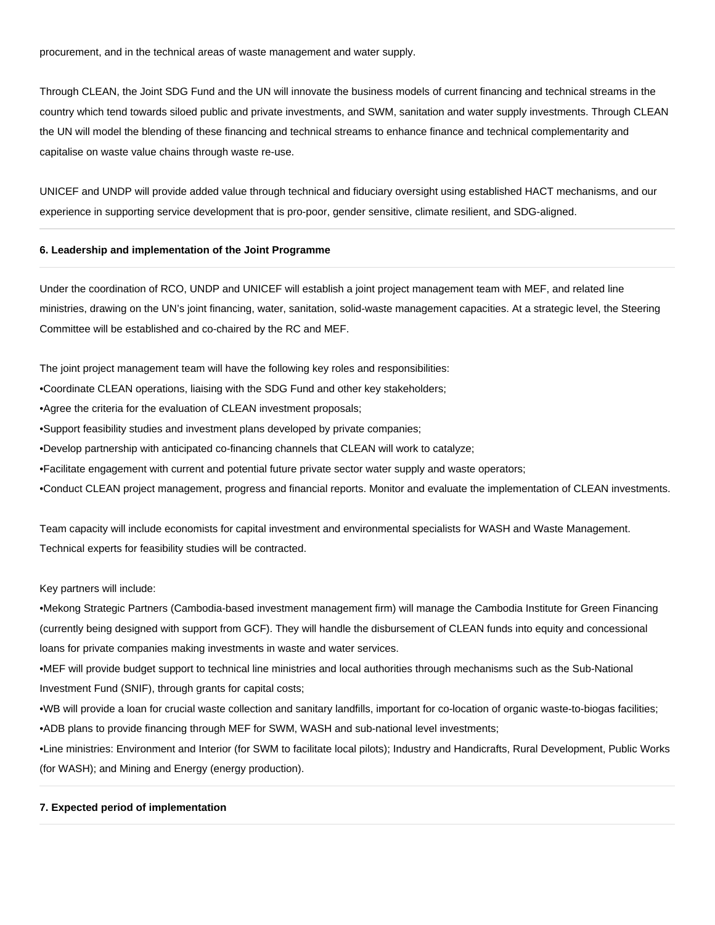procurement, and in the technical areas of waste management and water supply.

Through CLEAN, the Joint SDG Fund and the UN will innovate the business models of current financing and technical streams in the country which tend towards siloed public and private investments, and SWM, sanitation and water supply investments. Through CLEAN the UN will model the blending of these financing and technical streams to enhance finance and technical complementarity and capitalise on waste value chains through waste re-use.

UNICEF and UNDP will provide added value through technical and fiduciary oversight using established HACT mechanisms, and our experience in supporting service development that is pro-poor, gender sensitive, climate resilient, and SDG-aligned.

#### **6. Leadership and implementation of the Joint Programme**

Under the coordination of RCO, UNDP and UNICEF will establish a joint project management team with MEF, and related line ministries, drawing on the UN's joint financing, water, sanitation, solid-waste management capacities. At a strategic level, the Steering Committee will be established and co-chaired by the RC and MEF.

The joint project management team will have the following key roles and responsibilities:

•Coordinate CLEAN operations, liaising with the SDG Fund and other key stakeholders;

•Agree the criteria for the evaluation of CLEAN investment proposals;

•Support feasibility studies and investment plans developed by private companies;

•Develop partnership with anticipated co-financing channels that CLEAN will work to catalyze;

•Facilitate engagement with current and potential future private sector water supply and waste operators;

•Conduct CLEAN project management, progress and financial reports. Monitor and evaluate the implementation of CLEAN investments.

Team capacity will include economists for capital investment and environmental specialists for WASH and Waste Management. Technical experts for feasibility studies will be contracted.

#### Key partners will include:

•Mekong Strategic Partners (Cambodia-based investment management firm) will manage the Cambodia Institute for Green Financing (currently being designed with support from GCF). They will handle the disbursement of CLEAN funds into equity and concessional loans for private companies making investments in waste and water services.

•MEF will provide budget support to technical line ministries and local authorities through mechanisms such as the Sub-National Investment Fund (SNIF), through grants for capital costs;

•WB will provide a loan for crucial waste collection and sanitary landfills, important for co-location of organic waste-to-biogas facilities; •ADB plans to provide financing through MEF for SWM, WASH and sub-national level investments;

•Line ministries: Environment and Interior (for SWM to facilitate local pilots); Industry and Handicrafts, Rural Development, Public Works (for WASH); and Mining and Energy (energy production).

## **7. Expected period of implementation**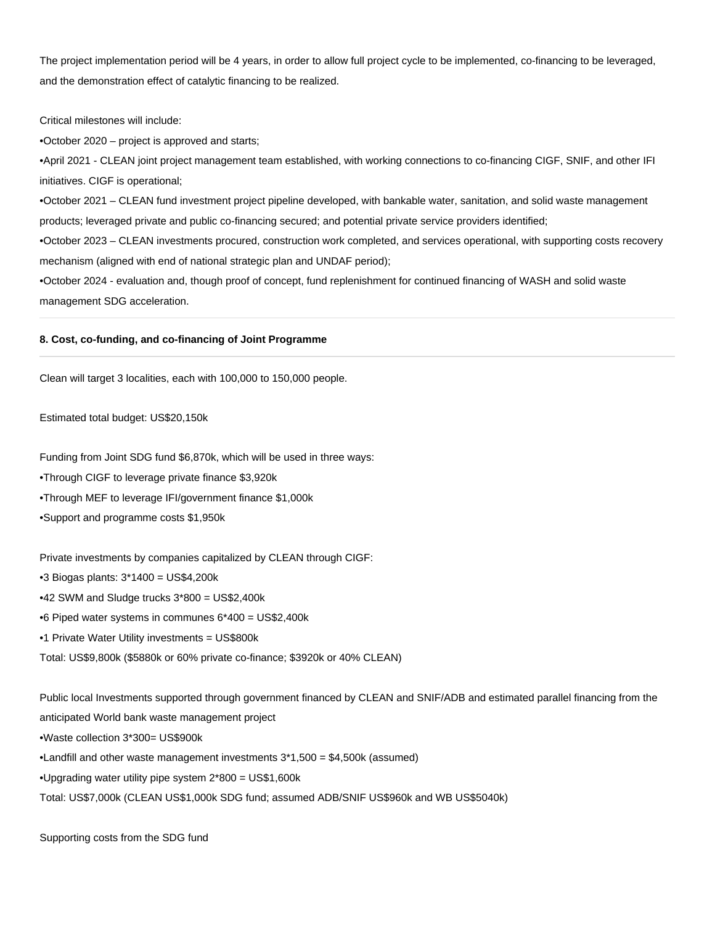The project implementation period will be 4 years, in order to allow full project cycle to be implemented, co-financing to be leveraged, and the demonstration effect of catalytic financing to be realized.

Critical milestones will include:

•October 2020 – project is approved and starts;

•April 2021 - CLEAN joint project management team established, with working connections to co-financing CIGF, SNIF, and other IFI initiatives. CIGF is operational;

•October 2021 – CLEAN fund investment project pipeline developed, with bankable water, sanitation, and solid waste management products; leveraged private and public co-financing secured; and potential private service providers identified;

•October 2023 – CLEAN investments procured, construction work completed, and services operational, with supporting costs recovery mechanism (aligned with end of national strategic plan and UNDAF period);

•October 2024 - evaluation and, though proof of concept, fund replenishment for continued financing of WASH and solid waste management SDG acceleration.

## **8. Cost, co-funding, and co-financing of Joint Programme**

Clean will target 3 localities, each with 100,000 to 150,000 people.

Estimated total budget: US\$20,150k

Funding from Joint SDG fund \$6,870k, which will be used in three ways:

•Through CIGF to leverage private finance \$3,920k

•Through MEF to leverage IFI/government finance \$1,000k

•Support and programme costs \$1,950k

Private investments by companies capitalized by CLEAN through CIGF:

•3 Biogas plants: 3\*1400 = US\$4,200k

•42 SWM and Sludge trucks 3\*800 = US\$2,400k

•6 Piped water systems in communes 6\*400 = US\$2,400k

•1 Private Water Utility investments = US\$800k

Total: US\$9,800k (\$5880k or 60% private co-finance; \$3920k or 40% CLEAN)

Public local Investments supported through government financed by CLEAN and SNIF/ADB and estimated parallel financing from the

anticipated World bank waste management project

•Waste collection 3\*300= US\$900k

•Landfill and other waste management investments 3\*1,500 = \$4,500k (assumed)

•Upgrading water utility pipe system 2\*800 = US\$1,600k

Total: US\$7,000k (CLEAN US\$1,000k SDG fund; assumed ADB/SNIF US\$960k and WB US\$5040k)

Supporting costs from the SDG fund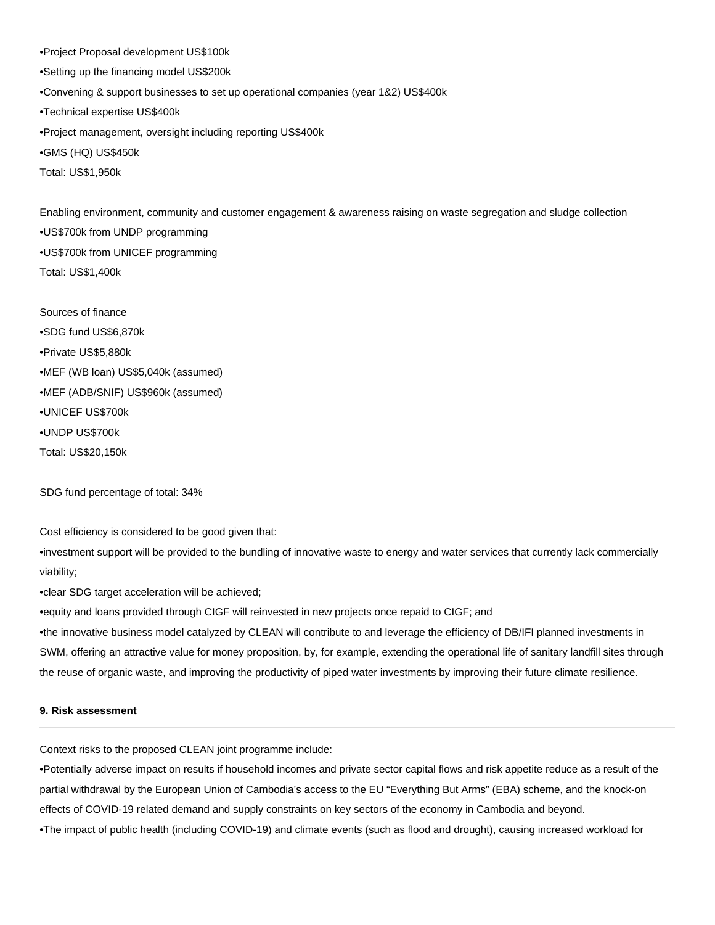•Project Proposal development US\$100k •Setting up the financing model US\$200k •Convening & support businesses to set up operational companies (year 1&2) US\$400k •Technical expertise US\$400k •Project management, oversight including reporting US\$400k •GMS (HQ) US\$450k Total: US\$1,950k

Enabling environment, community and customer engagement & awareness raising on waste segregation and sludge collection •US\$700k from UNDP programming •US\$700k from UNICEF programming Total: US\$1,400k

Sources of finance •SDG fund US\$6,870k •Private US\$5,880k •MEF (WB loan) US\$5,040k (assumed) •MEF (ADB/SNIF) US\$960k (assumed) •UNICEF US\$700k •UNDP US\$700k Total: US\$20,150k

SDG fund percentage of total: 34%

Cost efficiency is considered to be good given that:

•investment support will be provided to the bundling of innovative waste to energy and water services that currently lack commercially viability;

•clear SDG target acceleration will be achieved;

•equity and loans provided through CIGF will reinvested in new projects once repaid to CIGF; and

•the innovative business model catalyzed by CLEAN will contribute to and leverage the efficiency of DB/IFI planned investments in SWM, offering an attractive value for money proposition, by, for example, extending the operational life of sanitary landfill sites through the reuse of organic waste, and improving the productivity of piped water investments by improving their future climate resilience.

## **9. Risk assessment**

Context risks to the proposed CLEAN joint programme include:

•Potentially adverse impact on results if household incomes and private sector capital flows and risk appetite reduce as a result of the partial withdrawal by the European Union of Cambodia's access to the EU "Everything But Arms" (EBA) scheme, and the knock-on effects of COVID-19 related demand and supply constraints on key sectors of the economy in Cambodia and beyond.

•The impact of public health (including COVID-19) and climate events (such as flood and drought), causing increased workload for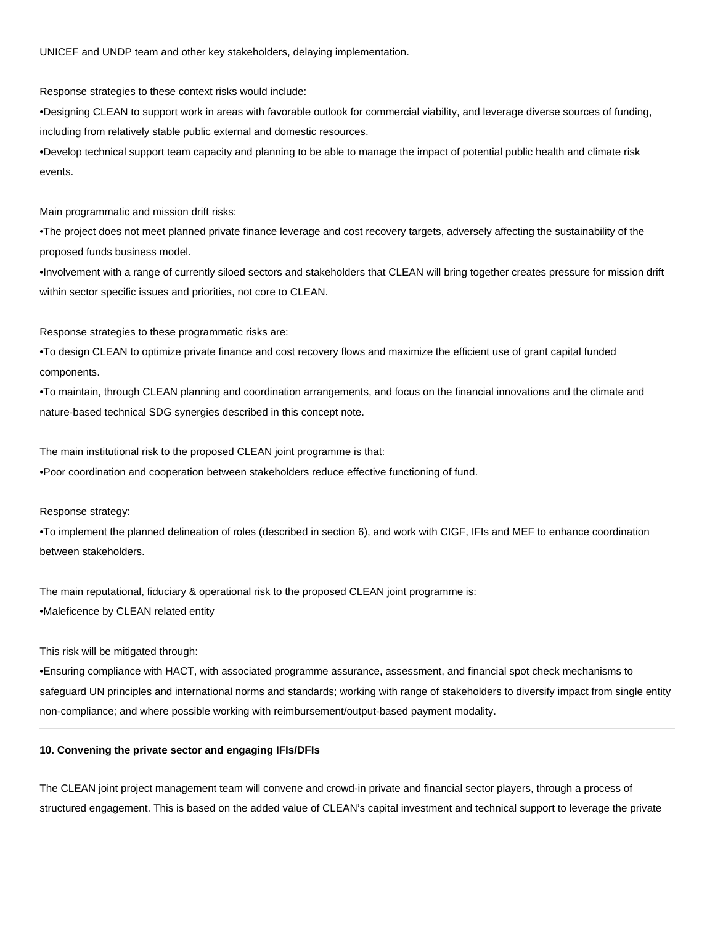UNICEF and UNDP team and other key stakeholders, delaying implementation.

Response strategies to these context risks would include:

•Designing CLEAN to support work in areas with favorable outlook for commercial viability, and leverage diverse sources of funding, including from relatively stable public external and domestic resources.

•Develop technical support team capacity and planning to be able to manage the impact of potential public health and climate risk events.

Main programmatic and mission drift risks:

•The project does not meet planned private finance leverage and cost recovery targets, adversely affecting the sustainability of the proposed funds business model.

•Involvement with a range of currently siloed sectors and stakeholders that CLEAN will bring together creates pressure for mission drift within sector specific issues and priorities, not core to CLEAN.

Response strategies to these programmatic risks are:

•To design CLEAN to optimize private finance and cost recovery flows and maximize the efficient use of grant capital funded components.

•To maintain, through CLEAN planning and coordination arrangements, and focus on the financial innovations and the climate and nature-based technical SDG synergies described in this concept note.

The main institutional risk to the proposed CLEAN joint programme is that:

•Poor coordination and cooperation between stakeholders reduce effective functioning of fund.

Response strategy:

•To implement the planned delineation of roles (described in section 6), and work with CIGF, IFIs and MEF to enhance coordination between stakeholders.

The main reputational, fiduciary & operational risk to the proposed CLEAN joint programme is: •Maleficence by CLEAN related entity

This risk will be mitigated through:

•Ensuring compliance with HACT, with associated programme assurance, assessment, and financial spot check mechanisms to safeguard UN principles and international norms and standards; working with range of stakeholders to diversify impact from single entity non-compliance; and where possible working with reimbursement/output-based payment modality.

## **10. Convening the private sector and engaging IFIs/DFIs**

The CLEAN joint project management team will convene and crowd-in private and financial sector players, through a process of structured engagement. This is based on the added value of CLEAN's capital investment and technical support to leverage the private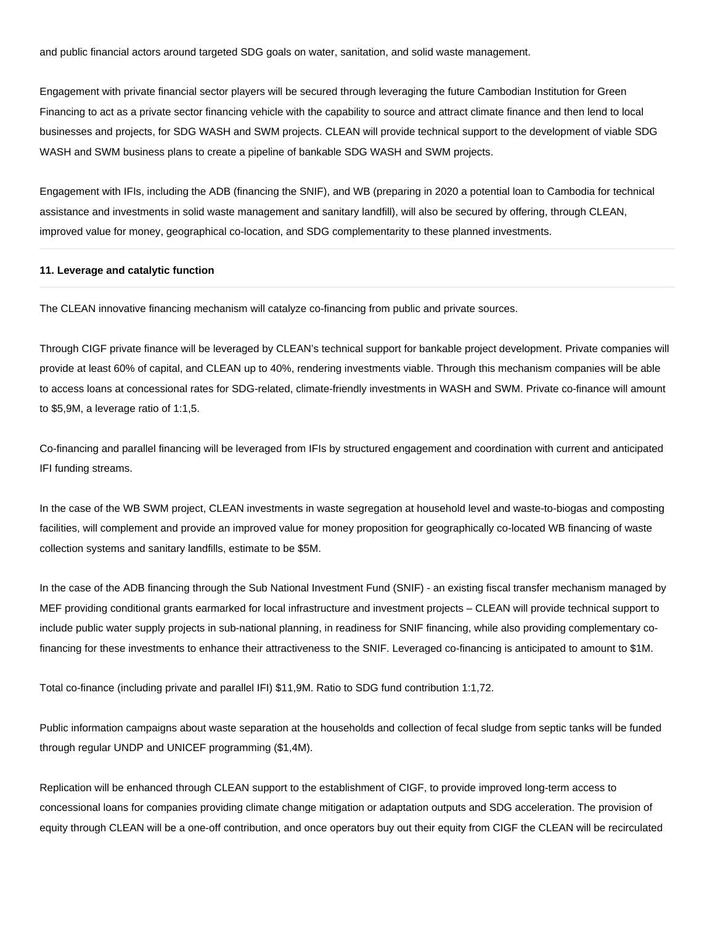and public financial actors around targeted SDG goals on water, sanitation, and solid waste management.

Engagement with private financial sector players will be secured through leveraging the future Cambodian Institution for Green Financing to act as a private sector financing vehicle with the capability to source and attract climate finance and then lend to local businesses and projects, for SDG WASH and SWM projects. CLEAN will provide technical support to the development of viable SDG WASH and SWM business plans to create a pipeline of bankable SDG WASH and SWM projects.

Engagement with IFIs, including the ADB (financing the SNIF), and WB (preparing in 2020 a potential loan to Cambodia for technical assistance and investments in solid waste management and sanitary landfill), will also be secured by offering, through CLEAN, improved value for money, geographical co-location, and SDG complementarity to these planned investments.

#### **11. Leverage and catalytic function**

The CLEAN innovative financing mechanism will catalyze co-financing from public and private sources.

Through CIGF private finance will be leveraged by CLEAN's technical support for bankable project development. Private companies will provide at least 60% of capital, and CLEAN up to 40%, rendering investments viable. Through this mechanism companies will be able to access loans at concessional rates for SDG-related, climate-friendly investments in WASH and SWM. Private co-finance will amount to \$5,9M, a leverage ratio of 1:1,5.

Co-financing and parallel financing will be leveraged from IFIs by structured engagement and coordination with current and anticipated IFI funding streams.

In the case of the WB SWM project, CLEAN investments in waste segregation at household level and waste-to-biogas and composting facilities, will complement and provide an improved value for money proposition for geographically co-located WB financing of waste collection systems and sanitary landfills, estimate to be \$5M.

In the case of the ADB financing through the Sub National Investment Fund (SNIF) - an existing fiscal transfer mechanism managed by MEF providing conditional grants earmarked for local infrastructure and investment projects – CLEAN will provide technical support to include public water supply projects in sub-national planning, in readiness for SNIF financing, while also providing complementary cofinancing for these investments to enhance their attractiveness to the SNIF. Leveraged co-financing is anticipated to amount to \$1M.

Total co-finance (including private and parallel IFI) \$11,9M. Ratio to SDG fund contribution 1:1,72.

Public information campaigns about waste separation at the households and collection of fecal sludge from septic tanks will be funded through regular UNDP and UNICEF programming (\$1,4M).

Replication will be enhanced through CLEAN support to the establishment of CIGF, to provide improved long-term access to concessional loans for companies providing climate change mitigation or adaptation outputs and SDG acceleration. The provision of equity through CLEAN will be a one-off contribution, and once operators buy out their equity from CIGF the CLEAN will be recirculated